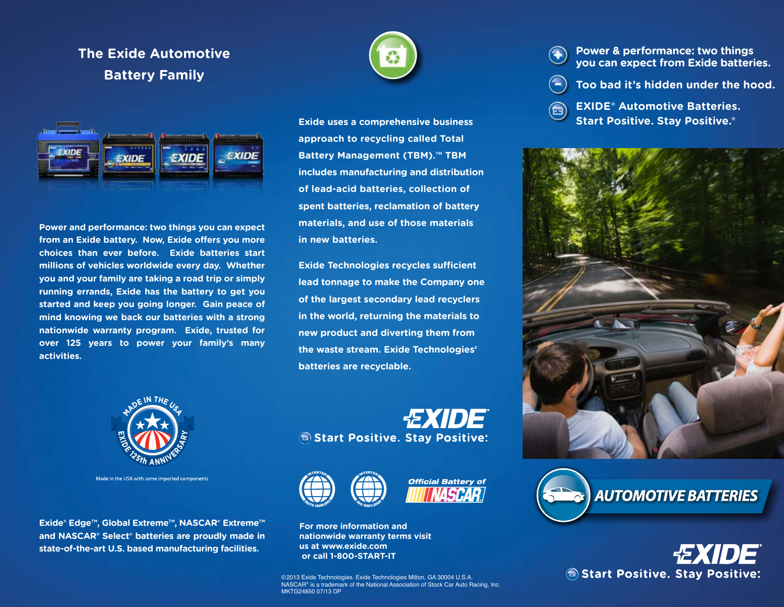## **The Exide Automotive Battery Family**



**Power and performance: two things you can expect from an Exide battery. Now, Exide offers you more choices than ever before. Exide batteries start millions of vehicles worldwide every day. Whether you and your family are taking a road trip or simply running errands, Exide has the battery to get you started and keep you going longer. Gain peace of mind knowing we back our batteries with a strong nationwide warranty program. Exide, trusted for over 125 years to power your family's many activities.**



**Exide uses a comprehensive business approach to recycling called Total Battery Management (TBM).™ TBM includes manufacturing and distribution of lead-acid batteries, collection of spent batteries, reclamation of battery materials, and use of those materials in new batteries.**

**Exide Technologies recycles sufficient lead tonnage to make the Company one of the largest secondary lead recyclers in the world, returning the materials to new product and diverting them from the waste stream. Exide Technologies' batteries are recyclable.**



Made in the USA with some imported components

**Exide® Edge™, Global Extreme™, NASCAR® Extreme™ and NASCAR® Select® batteries are proudly made in state-of-the-art U.S. based manufacturing facilities.**







**For more information and nationwide warranty terms visit us at www.exide.com or call 1-800-START-IT**

©2013 Exide Technologies. Exide Technologies Milton, GA 30004 U.S.A. NASCAR® is a trademark of the National Association of Stock Car Auto Racing, Inc. MKTG24850 07/13 DP

- **Power & performance: two things**   $\left( \begin{matrix} \bullet \\ \bullet \end{matrix} \right)$ **you can expect from Exide batteries.**
	- **Too bad it's hidden under the hood.**
- **EXIDE® Automotive Batteries.**   $\boldsymbol{\Xi}$ **Start Positive. Stay Positive.®**